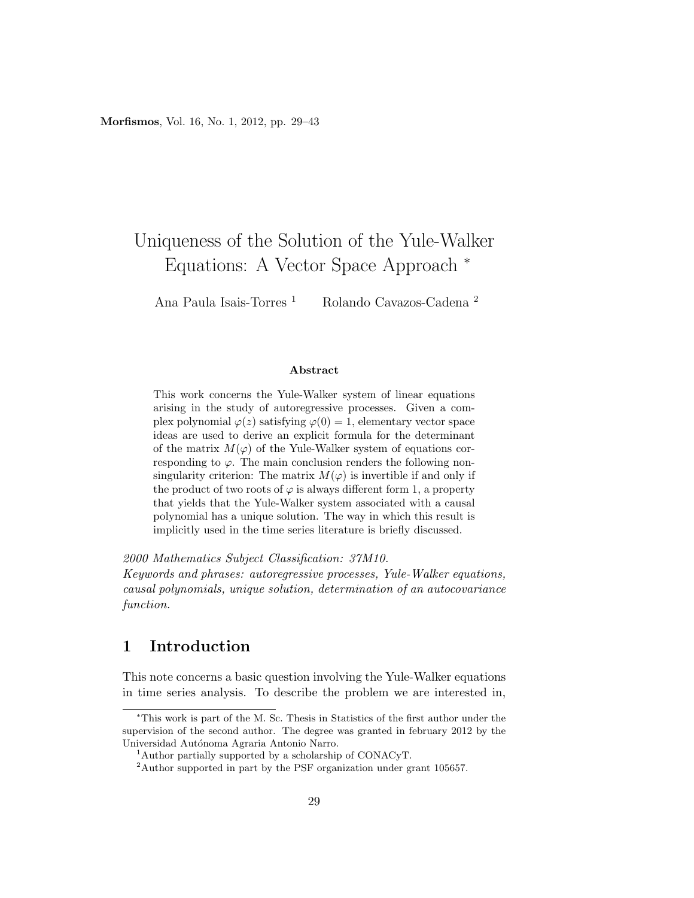# Uniqueness of the Solution of the Yule-Walker Equations: A Vector Space Approach <sup>∗</sup>

Ana Paula Isais-Torres<sup>1</sup> Rolando Cavazos-Cadena<sup>2</sup>

### Abstract

This work concerns the Yule-Walker system of linear equations arising in the study of autoregressive processes. Given a complex polynomial  $\varphi(z)$  satisfying  $\varphi(0) = 1$ , elementary vector space ideas are used to derive an explicit formula for the determinant of the matrix  $M(\varphi)$  of the Yule-Walker system of equations corresponding to  $\varphi$ . The main conclusion renders the following nonsingularity criterion: The matrix  $M(\varphi)$  is invertible if and only if the product of two roots of  $\varphi$  is always different form 1, a property that yields that the Yule-Walker system associated with a causal polynomial has a unique solution. The way in which this result is implicitly used in the time series literature is briefly discussed.

2000 Mathematics Subject Classification: 37M10.

Keywords and phrases: autoregressive processes, Yule-Walker equations, causal polynomials, unique solution, determination of an autocovariance function.

# 1 Introduction

This note concerns a basic question involving the Yule-Walker equations in time series analysis. To describe the problem we are interested in,

<sup>∗</sup>This work is part of the M. Sc. Thesis in Statistics of the first author under the supervision of the second author. The degree was granted in february 2012 by the Universidad Autónoma Agraria Antonio Narro.

<sup>&</sup>lt;sup>1</sup>Author partially supported by a scholarship of CONACyT.

<sup>2</sup>Author supported in part by the PSF organization under grant 105657.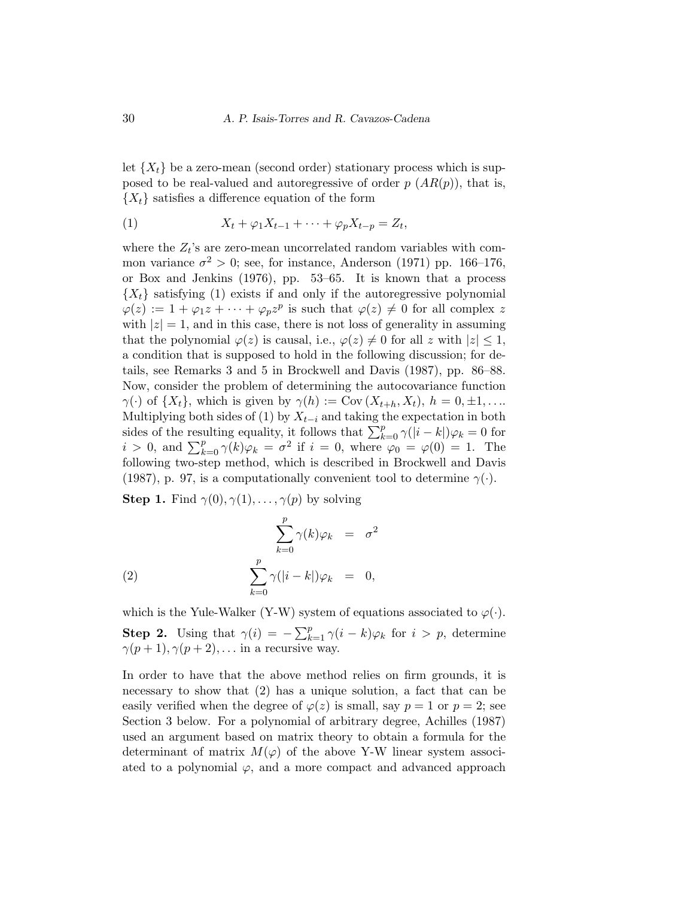let  $\{X_t\}$  be a zero-mean (second order) stationary process which is supposed to be real-valued and autoregressive of order  $p(AR(p))$ , that is,  ${X<sub>t</sub>}$  satisfies a difference equation of the form

$$
(1) \t\t Xt + \varphi_1 Xt-1 + \cdots + \varphi_p Xt-p = Zt,
$$

where the  $Z_t$ 's are zero-mean uncorrelated random variables with common variance  $\sigma^2 > 0$ ; see, for instance, Anderson (1971) pp. 166–176, or Box and Jenkins (1976), pp. 53–65. It is known that a process  ${X<sub>t</sub>}$  satisfying (1) exists if and only if the autoregressive polynomial  $\varphi(z) := 1 + \varphi_1 z + \cdots + \varphi_p z^p$  is such that  $\varphi(z) \neq 0$  for all complex z with  $|z|=1$ , and in this case, there is not loss of generality in assuming that the polynomial  $\varphi(z)$  is causal, i.e.,  $\varphi(z) \neq 0$  for all z with  $|z| \leq 1$ , a condition that is supposed to hold in the following discussion; for details, see Remarks 3 and 5 in Brockwell and Davis (1987), pp. 86–88. Now, consider the problem of determining the autocovariance function  $\gamma(\cdot)$  of  $\{X_t\}$ , which is given by  $\gamma(h) := \text{Cov}(X_{t+h}, X_t)$ ,  $h = 0, \pm 1, \ldots$ Multiplying both sides of (1) by  $X_{t-i}$  and taking the expectation in both sides of the resulting equality, it follows that  $\sum_{k=0}^{p} \gamma(|i-k|) \varphi_k = 0$  for  $i > 0$ , and  $\sum_{k=0}^{p} \gamma(k)\varphi_k = \sigma^2$  if  $i = 0$ , where  $\varphi_0 = \varphi(0) = 1$ . The following two-step method, which is described in Brockwell and Davis (1987), p. 97, is a computationally convenient tool to determine  $\gamma(\cdot)$ .

**Step 1.** Find  $\gamma(0), \gamma(1), \ldots, \gamma(p)$  by solving

(2) 
$$
\sum_{k=0}^{p} \gamma(k)\varphi_k = \sigma^2
$$

$$
\sum_{k=0}^{p} \gamma(|i-k|)\varphi_k = 0,
$$

which is the Yule-Walker (Y-W) system of equations associated to  $\varphi(\cdot)$ .

**Step 2.** Using that  $\gamma(i) = -\sum_{k=1}^{p} \gamma(i-k)\varphi_k$  for  $i > p$ , determine  $\gamma(p+1), \gamma(p+2), \ldots$  in a recursive way.

In order to have that the above method relies on firm grounds, it is necessary to show that (2) has a unique solution, a fact that can be easily verified when the degree of  $\varphi(z)$  is small, say  $p = 1$  or  $p = 2$ ; see Section 3 below. For a polynomial of arbitrary degree, Achilles (1987) used an argument based on matrix theory to obtain a formula for the determinant of matrix  $M(\varphi)$  of the above Y-W linear system associated to a polynomial  $\varphi$ , and a more compact and advanced approach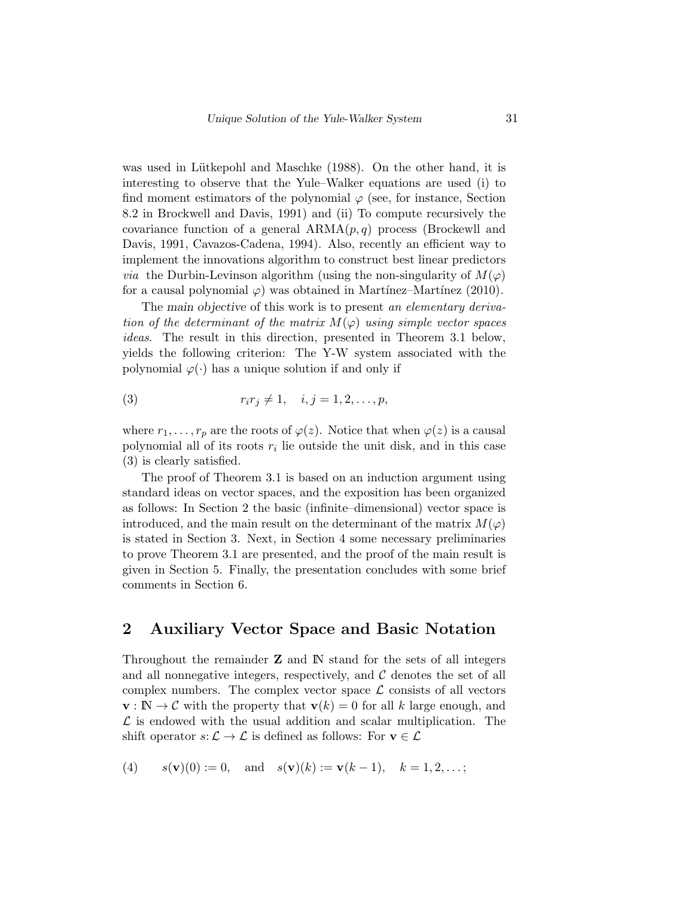was used in Lütkepohl and Maschke (1988). On the other hand, it is interesting to observe that the Yule–Walker equations are used (i) to find moment estimators of the polynomial  $\varphi$  (see, for instance, Section 8.2 in Brockwell and Davis, 1991) and (ii) To compute recursively the covariance function of a general  $ARMA(p,q)$  process (Brockewll and Davis, 1991, Cavazos-Cadena, 1994). Also, recently an efficient way to implement the innovations algorithm to construct best linear predictors *via* the Durbin-Levinson algorithm (using the non-singularity of  $M(\varphi)$ ) for a causal polynomial  $\varphi$ ) was obtained in Martinez–Martinez (2010).

The main objective of this work is to present an elementary derivation of the determinant of the matrix  $M(\varphi)$  using simple vector spaces ideas. The result in this direction, presented in Theorem 3.1 below, yields the following criterion: The Y-W system associated with the polynomial  $\varphi(\cdot)$  has a unique solution if and only if

(3) 
$$
r_i r_j \neq 1, \quad i, j = 1, 2, ..., p,
$$

where  $r_1, \ldots, r_p$  are the roots of  $\varphi(z)$ . Notice that when  $\varphi(z)$  is a causal polynomial all of its roots  $r_i$  lie outside the unit disk, and in this case (3) is clearly satisfied.

The proof of Theorem 3.1 is based on an induction argument using standard ideas on vector spaces, and the exposition has been organized as follows: In Section 2 the basic (infinite–dimensional) vector space is introduced, and the main result on the determinant of the matrix  $M(\varphi)$ is stated in Section 3. Next, in Section 4 some necessary preliminaries to prove Theorem 3.1 are presented, and the proof of the main result is given in Section 5. Finally, the presentation concludes with some brief comments in Section 6.

# 2 Auxiliary Vector Space and Basic Notation

Throughout the remainder  $Z$  and  $N$  stand for the sets of all integers and all nonnegative integers, respectively, and  $\mathcal C$  denotes the set of all complex numbers. The complex vector space  $\mathcal L$  consists of all vectors  $\mathbf{v}: \mathbb{N} \to \mathcal{C}$  with the property that  $\mathbf{v}(k) = 0$  for all k large enough, and  $\mathcal L$  is endowed with the usual addition and scalar multiplication. The shift operator  $s: \mathcal{L} \to \mathcal{L}$  is defined as follows: For  $v \in \mathcal{L}$ 

(4) 
$$
s(\mathbf{v})(0) := 0
$$
, and  $s(\mathbf{v})(k) := \mathbf{v}(k-1)$ ,  $k = 1, 2, ...$ ;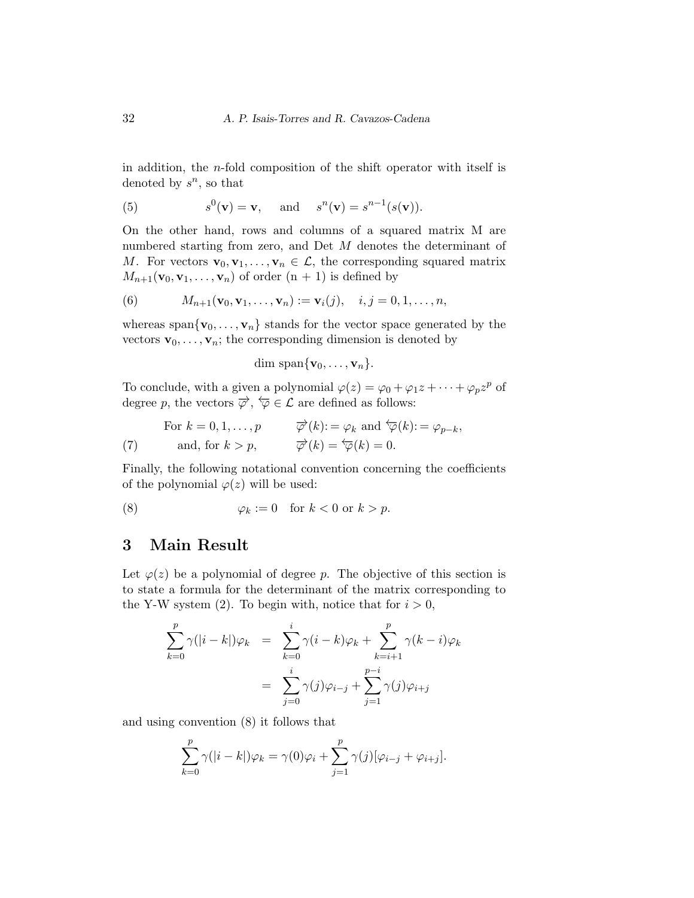in addition, the n-fold composition of the shift operator with itself is denoted by  $s^n$ , so that

(5) 
$$
s^0(\mathbf{v}) = \mathbf{v}
$$
, and  $s^n(\mathbf{v}) = s^{n-1}(s(\mathbf{v}))$ .

On the other hand, rows and columns of a squared matrix M are numbered starting from zero, and Det M denotes the determinant of M. For vectors  $\mathbf{v}_0, \mathbf{v}_1, \ldots, \mathbf{v}_n \in \mathcal{L}$ , the corresponding squared matrix  $M_{n+1}(\mathbf{v}_0, \mathbf{v}_1, \dots, \mathbf{v}_n)$  of order  $(n + 1)$  is defined by

(6) 
$$
M_{n+1}(\mathbf{v}_0, \mathbf{v}_1, ..., \mathbf{v}_n) := \mathbf{v}_i(j), \quad i, j = 0, 1, ..., n,
$$

whereas span $\{v_0, \ldots, v_n\}$  stands for the vector space generated by the vectors  $\mathbf{v}_0, \ldots, \mathbf{v}_n$ ; the corresponding dimension is denoted by

$$
\dim \, \mathrm{span}\{\mathbf{v}_0,\ldots,\mathbf{v}_n\}.
$$

To conclude, with a given a polynomial  $\varphi(z) = \varphi_0 + \varphi_1 z + \cdots + \varphi_p z^p$  of degree p, the vectors  $\overrightarrow{\varphi}$ ,  $\overleftarrow{\varphi} \in \mathcal{L}$  are defined as follows:

(7) For 
$$
k = 0, 1, ..., p
$$
  $\overrightarrow{\varphi}(k) := \varphi_k$  and  $\overleftarrow{\varphi}(k) := \varphi_{p-k}$ ,  
\n(7) and, for  $k > p$ ,  $\overrightarrow{\varphi}(k) = \overleftarrow{\varphi}(k) = 0$ .

Finally, the following notational convention concerning the coefficients of the polynomial  $\varphi(z)$  will be used:

(8) 
$$
\varphi_k := 0 \quad \text{for } k < 0 \text{ or } k > p.
$$

## 3 Main Result

Let  $\varphi(z)$  be a polynomial of degree p. The objective of this section is to state a formula for the determinant of the matrix corresponding to the Y-W system (2). To begin with, notice that for  $i > 0$ ,

$$
\sum_{k=0}^{p} \gamma(|i-k|)\varphi_k = \sum_{k=0}^{i} \gamma(i-k)\varphi_k + \sum_{k=i+1}^{p} \gamma(k-i)\varphi_k
$$

$$
= \sum_{j=0}^{i} \gamma(j)\varphi_{i-j} + \sum_{j=1}^{p-i} \gamma(j)\varphi_{i+j}
$$

and using convention (8) it follows that

$$
\sum_{k=0}^{p} \gamma(|i-k|) \varphi_k = \gamma(0)\varphi_i + \sum_{j=1}^{p} \gamma(j)[\varphi_{i-j} + \varphi_{i+j}].
$$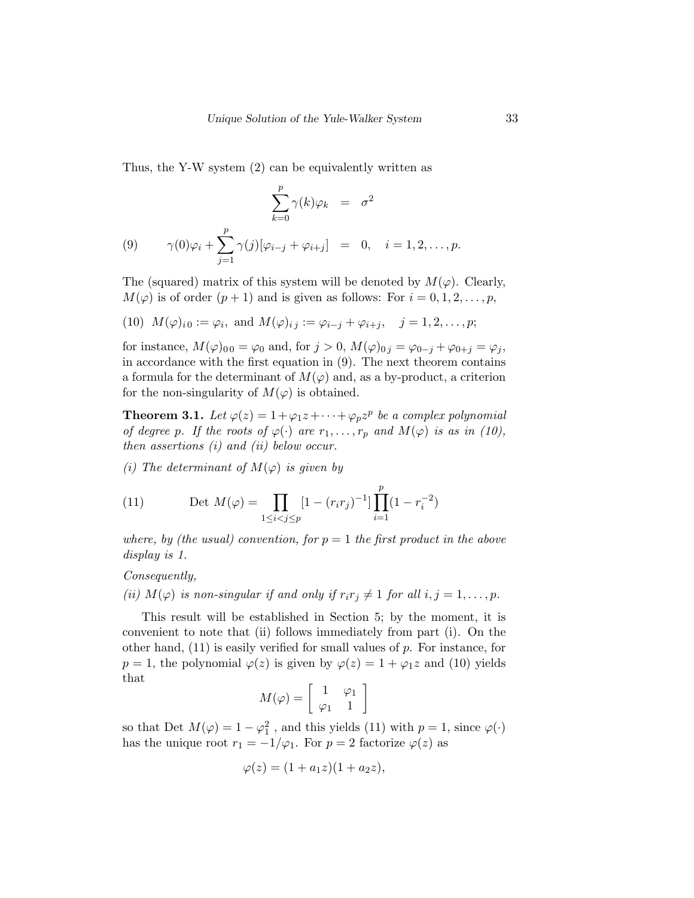Thus, the Y-W system (2) can be equivalently written as

$$
\sum_{k=0}^{p} \gamma(k)\varphi_k = \sigma^2
$$
  
(9) 
$$
\gamma(0)\varphi_i + \sum_{j=1}^{p} \gamma(j)[\varphi_{i-j} + \varphi_{i+j}] = 0, \quad i = 1, 2, ..., p.
$$

The (squared) matrix of this system will be denoted by  $M(\varphi)$ . Clearly,  $M(\varphi)$  is of order  $(p+1)$  and is given as follows: For  $i = 0, 1, 2, \ldots, p$ ,

(10) 
$$
M(\varphi)_{i0} := \varphi_i
$$
, and  $M(\varphi)_{i,j} := \varphi_{i-j} + \varphi_{i+j}$ ,  $j = 1, 2, ..., p$ ;

for instance,  $M(\varphi)_{00} = \varphi_0$  and, for  $j > 0$ ,  $M(\varphi)_{0j} = \varphi_{0-j} + \varphi_{0+j} = \varphi_j$ , in accordance with the first equation in (9). The next theorem contains a formula for the determinant of  $M(\varphi)$  and, as a by-product, a criterion for the non-singularity of  $M(\varphi)$  is obtained.

**Theorem 3.1.** Let  $\varphi(z) = 1 + \varphi_1 z + \cdots + \varphi_p z^p$  be a complex polynomial of degree p. If the roots of  $\varphi(\cdot)$  are  $r_1, \ldots, r_p$  and  $M(\varphi)$  is as in (10), then assertions (i) and (ii) below occur.

(i) The determinant of  $M(\varphi)$  is given by

(11) 
$$
\text{Det } M(\varphi) = \prod_{1 \leq i < j \leq p} [1 - (r_i r_j)^{-1}] \prod_{i=1}^p (1 - r_i^{-2})
$$

where, by (the usual) convention, for  $p = 1$  the first product in the above display is 1.

### Consequently,

(ii)  $M(\varphi)$  is non-singular if and only if  $r_i r_j \neq 1$  for all  $i, j = 1, \ldots, p$ .

This result will be established in Section 5; by the moment, it is convenient to note that (ii) follows immediately from part (i). On the other hand,  $(11)$  is easily verified for small values of p. For instance, for  $p = 1$ , the polynomial  $\varphi(z)$  is given by  $\varphi(z) = 1 + \varphi_1 z$  and (10) yields that

$$
M(\varphi) = \left[ \begin{array}{cc} 1 & \varphi_1 \\ \varphi_1 & 1 \end{array} \right]
$$

so that Det  $M(\varphi) = 1 - \varphi_1^2$ , and this yields (11) with  $p = 1$ , since  $\varphi(\cdot)$ has the unique root  $r_1 = -1/\varphi_1$ . For  $p = 2$  factorize  $\varphi(z)$  as

$$
\varphi(z) = (1 + a_1 z)(1 + a_2 z),
$$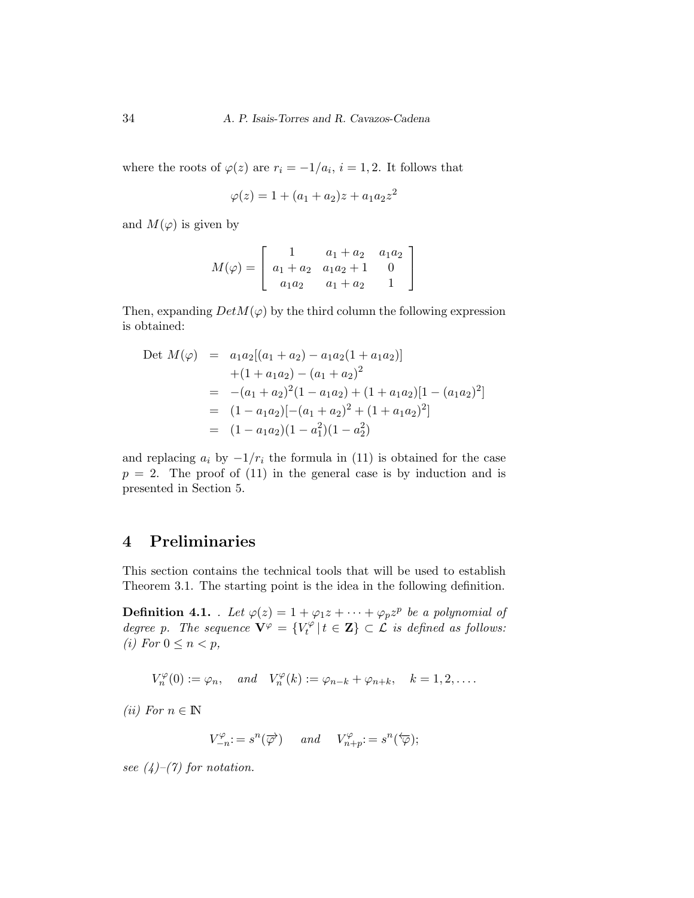where the roots of  $\varphi(z)$  are  $r_i = -1/a_i$ ,  $i = 1, 2$ . It follows that

$$
\varphi(z) = 1 + (a_1 + a_2)z + a_1 a_2 z^2
$$

and  $M(\varphi)$  is given by

$$
M(\varphi) = \left[ \begin{array}{ccc} 1 & a_1 + a_2 & a_1 a_2 \\ a_1 + a_2 & a_1 a_2 + 1 & 0 \\ a_1 a_2 & a_1 + a_2 & 1 \end{array} \right]
$$

Then, expanding  $DetM(\varphi)$  by the third column the following expression is obtained:

$$
\begin{array}{rcl}\n\text{Det } M(\varphi) & = & a_1 a_2 [(a_1 + a_2) - a_1 a_2 (1 + a_1 a_2)] \\
& + (1 + a_1 a_2) - (a_1 + a_2)^2 \\
& = & - (a_1 + a_2)^2 (1 - a_1 a_2) + (1 + a_1 a_2) [1 - (a_1 a_2)^2] \\
& = & (1 - a_1 a_2) [-(a_1 + a_2)^2 + (1 + a_1 a_2)^2] \\
& = & (1 - a_1 a_2) (1 - a_1^2) (1 - a_2^2)\n\end{array}
$$

and replacing  $a_i$  by  $-1/r_i$  the formula in (11) is obtained for the case  $p = 2$ . The proof of (11) in the general case is by induction and is presented in Section 5.

# 4 Preliminaries

This section contains the technical tools that will be used to establish Theorem 3.1. The starting point is the idea in the following definition.

**Definition 4.1.** Let  $\varphi(z) = 1 + \varphi_1 z + \cdots + \varphi_p z^p$  be a polynomial of degree p. The sequence  $\mathbf{V}^{\varphi} = \{V_t^{\varphi}\}$  $t^{\varphi}_t | t \in \mathbf{Z} \} \subset \mathcal{L}$  is defined as follows: (i) For  $0 \leq n < p$ ,

 $V_n^{\varphi}(0) := \varphi_n, \quad and \quad V_n^{\varphi}(k) := \varphi_{n-k} + \varphi_{n+k}, \quad k = 1, 2, \ldots.$ 

(*ii*) For  $n \in \mathbb{N}$ 

$$
V_{-n}^{\varphi} := s^n(\overrightarrow{\varphi}) \quad \text{and} \quad V_{n+p}^{\varphi} := s^n(\overleftarrow{\varphi});
$$

see  $(4)$ – $(7)$  for notation.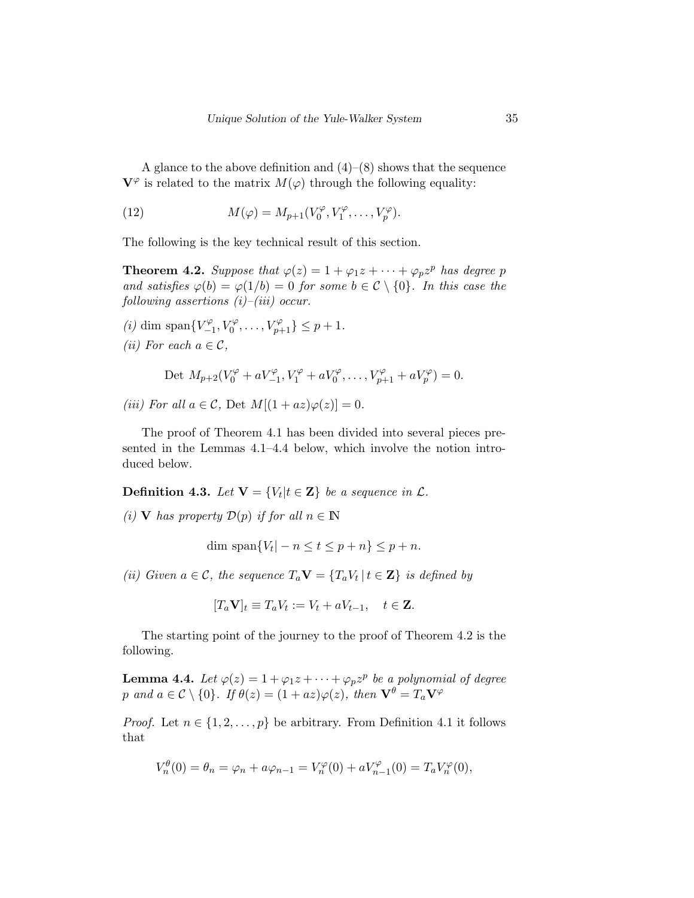A glance to the above definition and  $(4)$ – $(8)$  shows that the sequence  $\mathbf{V}^{\varphi}$  is related to the matrix  $M(\varphi)$  through the following equality:

(12) 
$$
M(\varphi) = M_{p+1}(V_0^{\varphi}, V_1^{\varphi}, \dots, V_p^{\varphi}).
$$

The following is the key technical result of this section.

**Theorem 4.2.** Suppose that  $\varphi(z) = 1 + \varphi_1 z + \cdots + \varphi_p z^p$  has degree p and satisfies  $\varphi(b) = \varphi(1/b) = 0$  for some  $b \in \mathcal{C} \setminus \{0\}$ . In this case the following assertions  $(i)$ – $(iii)$  occur.

(*i*) dim span $\{V^{\varphi}_-\}$  $\{V_{-1}^{\varphi}, V_0^{\varphi}, \ldots, V_{p+1}^{\varphi}\} \leq p+1.$ (*ii*) For each  $a \in \mathcal{C}$ ,

$$
\text{Det } M_{p+2}(V_0^{\varphi} + aV_{-1}^{\varphi}, V_1^{\varphi} + aV_0^{\varphi}, \dots, V_{p+1}^{\varphi} + aV_p^{\varphi}) = 0.
$$

(iii) For all  $a \in \mathcal{C}$ , Det  $M[(1 + az)\varphi(z)] = 0$ .

The proof of Theorem 4.1 has been divided into several pieces presented in the Lemmas 4.1–4.4 below, which involve the notion introduced below.

**Definition 4.3.** Let  $\mathbf{V} = \{V_t | t \in \mathbf{Z}\}$  be a sequence in  $\mathcal{L}$ .

(i) **V** has property  $\mathcal{D}(p)$  if for all  $n \in \mathbb{N}$ 

dim span $\{V_t | -n \le t \le p+n\} \le p+n$ .

(ii) Given  $a \in \mathcal{C}$ , the sequence  $T_a \mathbf{V} = \{T_a V_t | t \in \mathbf{Z}\}\$ is defined by

$$
[T_a \mathbf{V}]_t \equiv T_a V_t := V_t + a V_{t-1}, \quad t \in \mathbf{Z}.
$$

The starting point of the journey to the proof of Theorem 4.2 is the following.

**Lemma 4.4.** Let  $\varphi(z) = 1 + \varphi_1 z + \cdots + \varphi_p z^p$  be a polynomial of degree p and  $a \in \mathcal{C} \setminus \{0\}$ . If  $\theta(z) = (1 + az)\varphi(z)$ , then  $\mathbf{V}^{\theta} = T_a \mathbf{V}^{\varphi}$ 

*Proof.* Let  $n \in \{1, 2, ..., p\}$  be arbitrary. From Definition 4.1 it follows that

$$
V_n^{\theta}(0) = \theta_n = \varphi_n + a\varphi_{n-1} = V_n^{\varphi}(0) + aV_{n-1}^{\varphi}(0) = T_a V_n^{\varphi}(0),
$$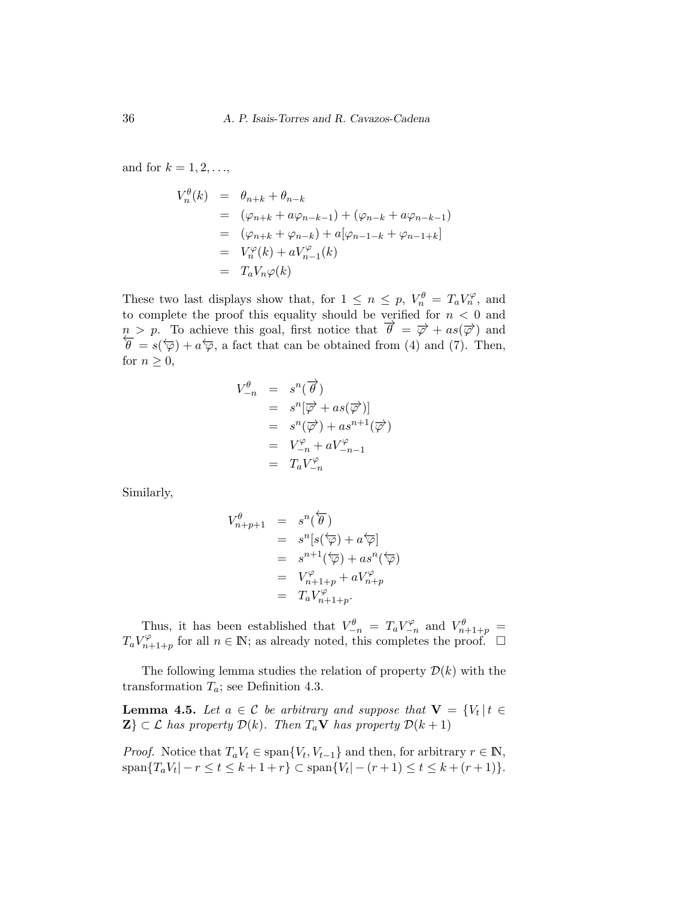and for  $k = 1, 2, \ldots$ ,

$$
V_n^{\theta}(k) = \theta_{n+k} + \theta_{n-k}
$$
  
=  $(\varphi_{n+k} + a\varphi_{n-k-1}) + (\varphi_{n-k} + a\varphi_{n-k-1})$   
=  $(\varphi_{n+k} + \varphi_{n-k}) + a[\varphi_{n-1-k} + \varphi_{n-1+k}]$   
=  $V_n^{\varphi}(k) + aV_{n-1}^{\varphi}(k)$   
=  $T_aV_n\varphi(k)$ 

These two last displays show that, for  $1 \leq n \leq p$ ,  $V_n^{\theta} = T_a V_n^{\varphi}$ , and to complete the proof this equality should be verified for  $n < 0$  and  $n > p$ . To achieve this goal, first notice that  $\vec{\theta} = \vec{\varphi} + as(\vec{\varphi})$  and  $\theta = s(\vec{\varphi}) + a\vec{\varphi}$ , a fact that can be obtained from (4) and (7). Then, for  $n \geq 0$ ,

$$
V_{-n}^{\theta} = s^{n}(\overrightarrow{\theta})
$$
  
=  $s^{n}[\overrightarrow{\varphi} + as(\overrightarrow{\varphi})]$   
=  $s^{n}(\overrightarrow{\varphi}) + as^{n+1}(\overrightarrow{\varphi})$   
=  $V_{-n}^{\varphi} + aV_{-n-1}^{\varphi}$   
=  $T_{a}V_{-n}^{\varphi}$ 

Similarly,

$$
V_{n+p+1}^{\theta} = s^{n}(\overleftarrow{\theta})
$$
  
=  $s^{n}[s(\overleftarrow{\varphi}) + a\overleftarrow{\varphi}]$   
=  $s^{n+1}(\overleftarrow{\varphi}) + as^{n}(\overleftarrow{\varphi})$   
=  $V_{n+1+p}^{\varphi} + aV_{n+p}^{\varphi}$   
=  $T_{a}V_{n+1+p}^{\varphi}$ .

Thus, it has been established that  $V_{-n}^{\theta} = T_a V_{-n}^{\varphi}$  $V_{n+1+p}^{\varphi}$  and  $V_{n+1+p}^{\theta}$  =  $T_a V^\varphi_{n}$  $n_{n+1+p}^{\varphi}$  for all  $n \in \mathbb{N}$ ; as already noted, this completes the proof.  $\Box$ 

The following lemma studies the relation of property  $\mathcal{D}(k)$  with the transformation  $T_a$ ; see Definition 4.3.

**Lemma 4.5.** Let  $a \in \mathcal{C}$  be arbitrary and suppose that  $\mathbf{V} = \{V_t | t \in \mathcal{C}\}$  $\mathbf{Z} \subset \mathcal{L}$  has property  $\mathcal{D}(k)$ . Then  $T_a \mathbf{V}$  has property  $\mathcal{D}(k+1)$ 

*Proof.* Notice that  $T_a V_t \in \text{span}\{V_t, V_{t-1}\}\$  and then, for arbitrary  $r \in \mathbb{N}$ ,  $\text{span}\{T_aV_t|-r\leq t\leq k+1+r\}\subset \text{span}\{V_t|-(r+1)\leq t\leq k+(r+1)\}.$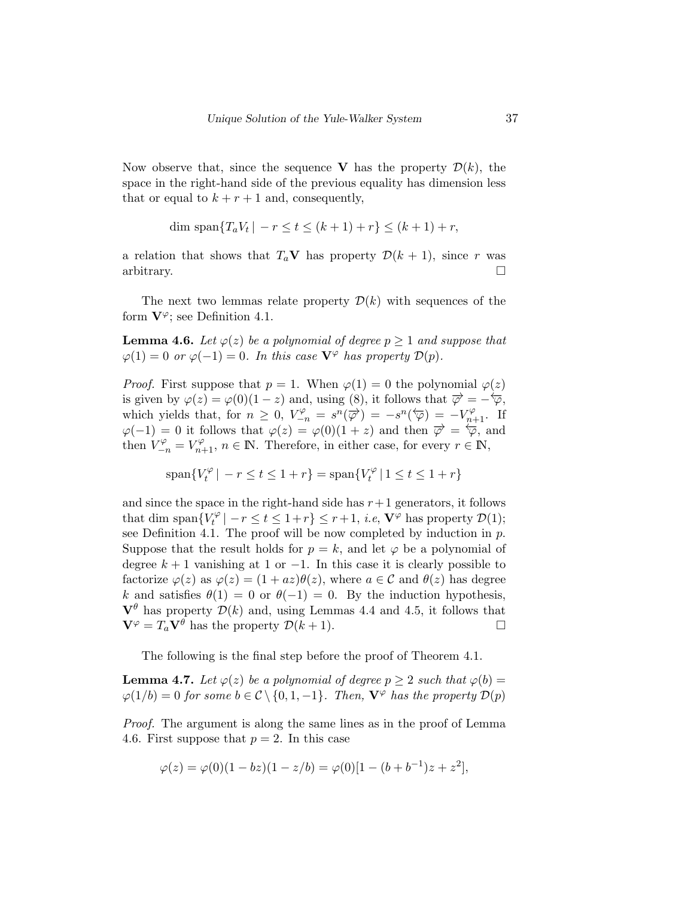Now observe that, since the sequence V has the property  $\mathcal{D}(k)$ , the space in the right-hand side of the previous equality has dimension less that or equal to  $k + r + 1$  and, consequently,

$$
\dim \, \text{span}\{T_a V_t \, | \, -r \le t \le (k+1) + r \} \le (k+1) + r,
$$

a relation that shows that  $T_a$ **V** has property  $\mathcal{D}(k+1)$ , since r was arbitrary.  $\Box$ 

The next two lemmas relate property  $\mathcal{D}(k)$  with sequences of the form  $V^{\varphi}$ ; see Definition 4.1.

**Lemma 4.6.** Let  $\varphi(z)$  be a polynomial of degree  $p \ge 1$  and suppose that  $\varphi(1) = 0$  or  $\varphi(-1) = 0$ . In this case  $\mathbf{V}^{\varphi}$  has property  $\mathcal{D}(p)$ .

*Proof.* First suppose that  $p = 1$ . When  $\varphi(1) = 0$  the polynomial  $\varphi(z)$ is given by  $\varphi(z) = \varphi(0)(1-z)$  and, using (8), it follows that  $\overrightarrow{\varphi} = -\overleftarrow{\varphi}$ , which yields that, for  $n \geq 0$ ,  $V_{-n}^{\varphi} = s^n(\overrightarrow{\varphi}) = -s^n(\overleftarrow{\varphi}) = -V_{n+1}^{\varphi}$ . If  $\varphi(-1) = 0$  it follows that  $\varphi(z) = \varphi(0)(1+z)$  and then  $\overrightarrow{\varphi} = \overleftarrow{\varphi}$ , and then  $V_{-n}^{\varphi} = V_{n+1}^{\varphi}$ ,  $n \in \mathbb{N}$ . Therefore, in either case, for every  $r \in \mathbb{N}$ ,

$$
\text{span}\{V_t^{\varphi} \mid -r \le t \le 1+r\} = \text{span}\{V_t^{\varphi} \mid 1 \le t \le 1+r\}
$$

and since the space in the right-hand side has  $r+1$  generators, it follows that dim span $\{V_t^{\varphi}$  $t^{\varphi}_{t} \mid -r \leq t \leq 1+r$   $\leq r+1$ , *i.e*,  $\mathbf{V}^{\varphi}$  has property  $\mathcal{D}(1)$ ; see Definition 4.1. The proof will be now completed by induction in  $p$ . Suppose that the result holds for  $p = k$ , and let  $\varphi$  be a polynomial of degree  $k + 1$  vanishing at 1 or  $-1$ . In this case it is clearly possible to factorize  $\varphi(z)$  as  $\varphi(z) = (1 + az)\theta(z)$ , where  $a \in \mathcal{C}$  and  $\theta(z)$  has degree k and satisfies  $\theta(1) = 0$  or  $\theta(-1) = 0$ . By the induction hypothesis,  $\mathbf{V}^{\theta}$  has property  $\mathcal{D}(k)$  and, using Lemmas 4.4 and 4.5, it follows that  $\mathbf{V}^{\varphi} = T_a \mathbf{V}^{\theta}$  has the property  $\mathcal{D}(k+1)$ .

The following is the final step before the proof of Theorem 4.1.

**Lemma 4.7.** Let  $\varphi(z)$  be a polynomial of degree  $p \geq 2$  such that  $\varphi(b) =$  $\varphi(1/b) = 0$  for some  $b \in \mathcal{C} \setminus \{0, 1, -1\}$ . Then,  $\mathbf{V}^{\varphi}$  has the property  $\mathcal{D}(p)$ 

Proof. The argument is along the same lines as in the proof of Lemma 4.6. First suppose that  $p = 2$ . In this case

$$
\varphi(z) = \varphi(0)(1 - bz)(1 - z/b) = \varphi(0)[1 - (b + b^{-1})z + z^2],
$$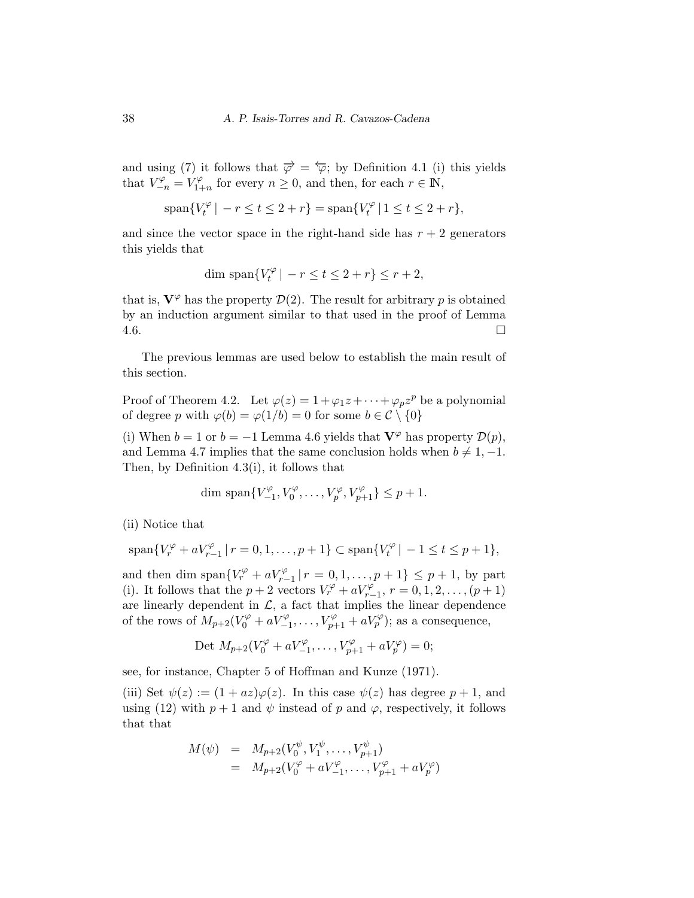and using (7) it follows that  $\overrightarrow{\varphi} = \overleftarrow{\varphi}$ ; by Definition 4.1 (i) this yields that  $V_{-n}^{\varphi} = V_{1+}^{\varphi}$  $T_{1+n}^{\varphi}$  for every  $n \geq 0$ , and then, for each  $r \in \mathbb{N}$ ,

$$
\text{span}\{V_t^{\varphi} \mid -r \le t \le 2 + r\} = \text{span}\{V_t^{\varphi} \mid 1 \le t \le 2 + r\},\
$$

and since the vector space in the right-hand side has  $r + 2$  generators this yields that

$$
\dim \text{span}\{V_t^{\varphi} \mid -r \le t \le 2+r\} \le r+2,
$$

that is,  $V^{\varphi}$  has the property  $\mathcal{D}(2)$ . The result for arbitrary p is obtained by an induction argument similar to that used in the proof of Lemma  $4.6.$ 

The previous lemmas are used below to establish the main result of this section.

Proof of Theorem 4.2. Let  $\varphi(z) = 1 + \varphi_1 z + \cdots + \varphi_p z^p$  be a polynomial of degree p with  $\varphi(b) = \varphi(1/b) = 0$  for some  $b \in \mathcal{C} \setminus \{0\}$ 

(i) When  $b = 1$  or  $b = -1$  Lemma 4.6 yields that  $\mathbf{V}^{\varphi}$  has property  $\mathcal{D}(p)$ , and Lemma 4.7 implies that the same conclusion holds when  $b \neq 1, -1$ . Then, by Definition 4.3(i), it follows that

dim span
$$
\{V_{-1}^{\varphi}, V_0^{\varphi}, \ldots, V_p^{\varphi}, V_{p+1}^{\varphi}\}\leq p+1.
$$

(ii) Notice that

$$
\text{span}\{V_r^{\varphi} + aV_{r-1}^{\varphi} \, | \, r = 0, 1, \dots, p+1\} \subset \text{span}\{V_t^{\varphi} \, | \, -1 \le t \le p+1\},\
$$

and then dim span $\{V_r^{\varphi} + aV_{r-1}^{\varphi} | r = 0, 1, ..., p+1\} \leq p+1$ , by part (i). It follows that the  $p + 2$  vectors  $V_r^{\varphi} + aV_{r-1}^{\varphi}, r = 0, 1, 2, ..., (p + 1)$ are linearly dependent in  $\mathcal{L}$ , a fact that implies the linear dependence of the rows of  $M_{p+2}(V_0^{\varphi}+aV_{-1}^{\varphi},\ldots,V_{p+1}^{\varphi}+aV_p^{\varphi})$ ; as a consequence,

$$
Det M_{p+2}(V_0^{\varphi} + aV_{-1}^{\varphi}, \dots, V_{p+1}^{\varphi} + aV_p^{\varphi}) = 0;
$$

see, for instance, Chapter 5 of Hoffman and Kunze (1971).

(iii) Set  $\psi(z) := (1 + az)\varphi(z)$ . In this case  $\psi(z)$  has degree  $p + 1$ , and using (12) with  $p + 1$  and  $\psi$  instead of p and  $\varphi$ , respectively, it follows that that

$$
M(\psi) = M_{p+2}(V_0^{\psi}, V_1^{\psi}, \dots, V_{p+1}^{\psi})
$$
  
=  $M_{p+2}(V_0^{\varphi} + aV_{-1}^{\varphi}, \dots, V_{p+1}^{\varphi} + aV_p^{\varphi})$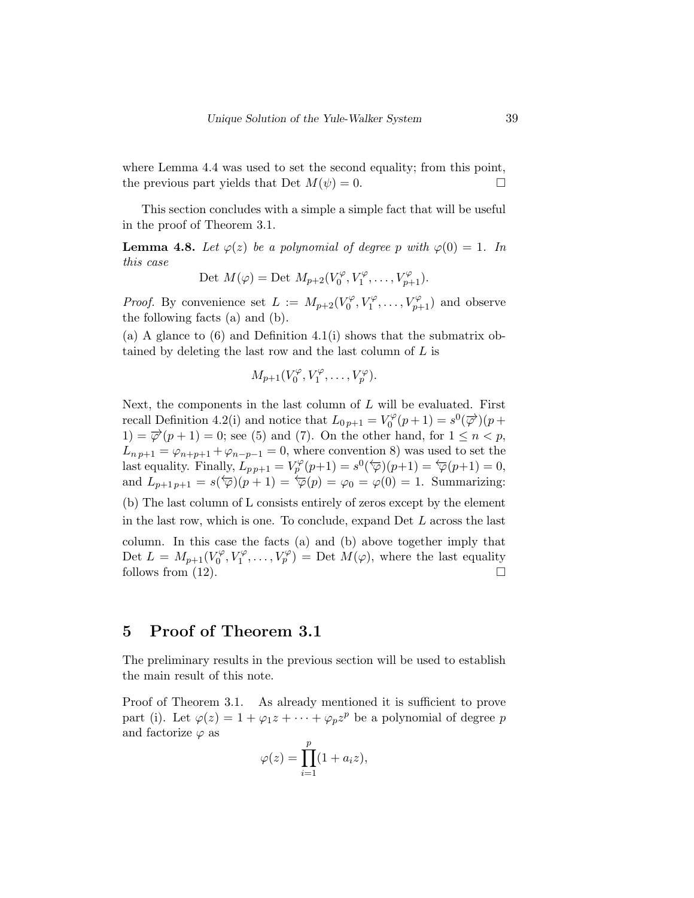where Lemma 4.4 was used to set the second equality; from this point, the previous part yields that Det  $M(\psi) = 0$ .

This section concludes with a simple a simple fact that will be useful in the proof of Theorem 3.1.

**Lemma 4.8.** Let  $\varphi(z)$  be a polynomial of degree p with  $\varphi(0) = 1$ . In this case

$$
\text{Det } M(\varphi) = \text{Det } M_{p+2}(V_0^{\varphi}, V_1^{\varphi}, \dots, V_{p+1}^{\varphi}).
$$

*Proof.* By convenience set  $L := M_{p+2}(V_0^{\varphi})$  $V_0^{\varphi}, V_1^{\varphi}, \ldots, V_{p+1}^{\varphi}$  and observe the following facts (a) and (b).

(a) A glance to  $(6)$  and Definition 4.1(i) shows that the submatrix obtained by deleting the last row and the last column of L is

$$
M_{p+1}(V_0^{\varphi}, V_1^{\varphi}, \ldots, V_p^{\varphi}).
$$

Next, the components in the last column of  $L$  will be evaluated. First recall Definition 4.2(i) and notice that  $L_{0 p+1} = V_0^{\varphi}$  $S_0^{\varphi}(p+1) = s^0(\overrightarrow{\varphi})(p+1)$ 1) =  $\overrightarrow{\varphi}(p+1) = 0$ ; see (5) and (7). On the other hand, for  $1 \leq n < p$ ,  $L_{np+1} = \varphi_{n+p+1} + \varphi_{n-p-1} = 0$ , where convention 8) was used to set the last equality. Finally,  $L_{p,p+1} = V_p^{\varphi}(p+1) = s^0(\overline{\varphi})(p+1) = \overline{\varphi}(p+1) = 0$ , and  $L_{p+1\,p+1} = s(\overleftarrow{\varphi})(p+1) = \overleftarrow{\varphi}(p) = \varphi_0 = \varphi(0) = 1$ . Summarizing: (b) The last column of L consists entirely of zeros except by the element in the last row, which is one. To conclude, expand Det L across the last column. In this case the facts (a) and (b) above together imply that Det  $L = M_{p+1}(V_0^{\varphi})$  $U_0^{\varphi}, V_1^{\varphi}, \ldots, V_p^{\varphi}) = \text{Det } M(\varphi),$  where the last equality follows from  $(12)$ .

# 5 Proof of Theorem 3.1

The preliminary results in the previous section will be used to establish the main result of this note.

Proof of Theorem 3.1. As already mentioned it is sufficient to prove part (i). Let  $\varphi(z) = 1 + \varphi_1 z + \cdots + \varphi_p z^p$  be a polynomial of degree p and factorize  $\varphi$  as  $\boldsymbol{p}$ 

$$
\varphi(z) = \prod_{i=1}^P (1 + a_i z),
$$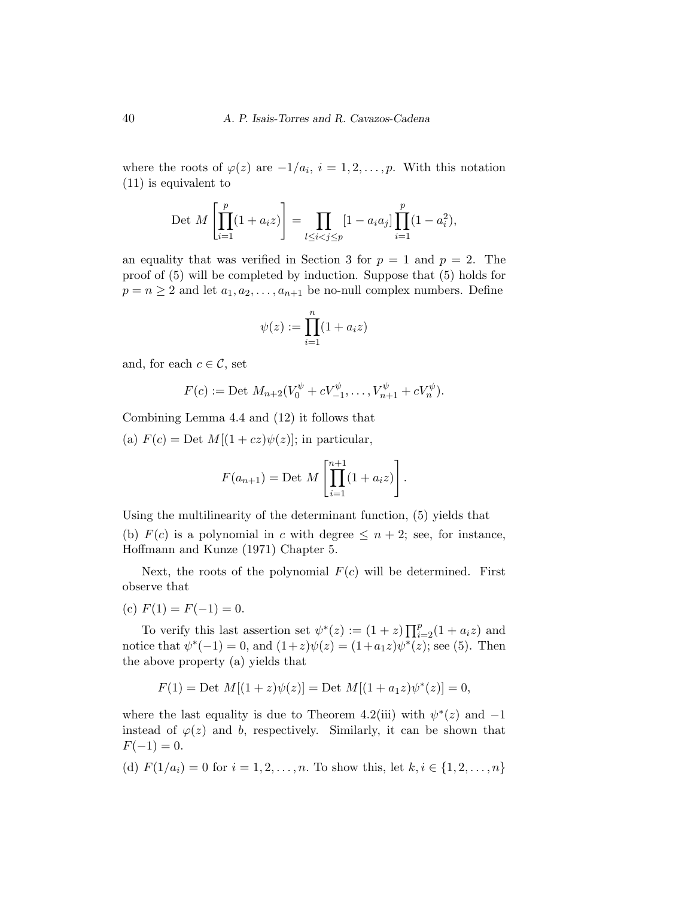where the roots of  $\varphi(z)$  are  $-1/a_i$ ,  $i=1,2,\ldots,p$ . With this notation (11) is equivalent to

$$
\text{Det } M\left[\prod_{i=1}^p (1+a_i z)\right] = \prod_{l \le i < j \le p} [1-a_i a_j] \prod_{i=1}^p (1-a_i^2),
$$

an equality that was verified in Section 3 for  $p = 1$  and  $p = 2$ . The proof of (5) will be completed by induction. Suppose that (5) holds for  $p = n \geq 2$  and let  $a_1, a_2, \ldots, a_{n+1}$  be no-null complex numbers. Define

$$
\psi(z) := \prod_{i=1}^n (1 + a_i z)
$$

and, for each  $c \in \mathcal{C}$ , set

$$
F(c) := \text{Det } M_{n+2}(V_0^{\psi} + cV_{-1}^{\psi}, \dots, V_{n+1}^{\psi} + cV_n^{\psi}).
$$

Combining Lemma 4.4 and (12) it follows that

(a)  $F(c) = \text{Det } M[(1+cz)\psi(z)];$  in particular,

$$
F(a_{n+1}) = \text{Det } M \left[ \prod_{i=1}^{n+1} (1 + a_i z) \right].
$$

Using the multilinearity of the determinant function, (5) yields that (b)  $F(c)$  is a polynomial in c with degree  $\leq n+2$ ; see, for instance, Hoffmann and Kunze (1971) Chapter 5.

Next, the roots of the polynomial  $F(c)$  will be determined. First observe that

(c)  $F(1) = F(-1) = 0.$ 

To verify this last assertion set  $\psi^*(z) := (1+z) \prod_{i=2}^p (1+a_i z)$  and notice that  $\psi^*(-1) = 0$ , and  $(1+z)\psi(z) = (1+a_1z)\psi^*(z)$ ; see (5). Then the above property (a) yields that

$$
F(1) = \text{Det } M[(1+z)\psi(z)] = \text{Det } M[(1+a_1z)\psi^*(z)] = 0,
$$

where the last equality is due to Theorem 4.2(iii) with  $\psi^*(z)$  and  $-1$ instead of  $\varphi(z)$  and b, respectively. Similarly, it can be shown that  $F(-1) = 0.$ 

(d) 
$$
F(1/a_i) = 0
$$
 for  $i = 1, 2, ..., n$ . To show this, let  $k, i \in \{1, 2, ..., n\}$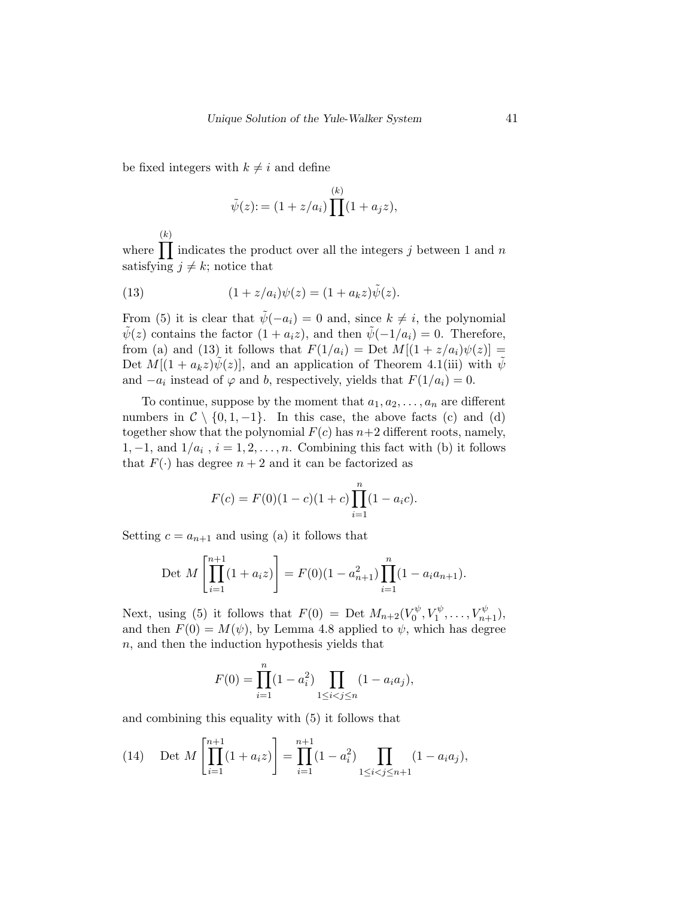be fixed integers with  $k \neq i$  and define

$$
\tilde{\psi}(z) := (1 + z/a_i) \prod^{(k)} (1 + a_j z),
$$

where  $\prod$  indicates the product over all the integers j between 1 and n  $(k)$ satisfying  $j \neq k$ ; notice that

(13) 
$$
(1 + z/a_i)\psi(z) = (1 + a_k z)\tilde{\psi}(z).
$$

From (5) it is clear that  $\tilde{\psi}(-a_i) = 0$  and, since  $k \neq i$ , the polynomial  $\tilde{\psi}(z)$  contains the factor  $(1 + a_i z)$ , and then  $\tilde{\psi}(-1/a_i) = 0$ . Therefore, from (a) and (13) it follows that  $F(1/a_i) = \text{Det } M[(1 + z/a_i)\psi(z)] =$ Det  $M[(1 + a_k z)\psi(z)]$ , and an application of Theorem 4.1(iii) with  $\psi$ and  $-a_i$  instead of  $\varphi$  and b, respectively, yields that  $F(1/a_i) = 0$ .

To continue, suppose by the moment that  $a_1, a_2, \ldots, a_n$  are different numbers in  $C \setminus \{0, 1, -1\}$ . In this case, the above facts (c) and (d) together show that the polynomial  $F(c)$  has  $n+2$  different roots, namely, 1, -1, and  $1/a_i$ ,  $i = 1, 2, ..., n$ . Combining this fact with (b) it follows that  $F(\cdot)$  has degree  $n+2$  and it can be factorized as

$$
F(c) = F(0)(1 - c)(1 + c) \prod_{i=1}^{n} (1 - a_i c).
$$

Setting  $c = a_{n+1}$  and using (a) it follows that

$$
\text{Det } M\left[\prod_{i=1}^{n+1} (1 + a_i z)\right] = F(0)(1 - a_{n+1}^2) \prod_{i=1}^n (1 - a_i a_{n+1}).
$$

Next, using (5) it follows that  $F(0) =$  Det  $M_{n+2}(V_0^{\psi})$  $V_0^{\psi}, V_1^{\psi}, \ldots, V_{n+1}^{\psi}$ ), and then  $F(0) = M(\psi)$ , by Lemma 4.8 applied to  $\psi$ , which has degree n, and then the induction hypothesis yields that

$$
F(0) = \prod_{i=1}^{n} (1 - a_i^2) \prod_{1 \le i < j \le n} (1 - a_i a_j),
$$

and combining this equality with (5) it follows that

(14) Det 
$$
M\left[\prod_{i=1}^{n+1} (1 + a_i z)\right] = \prod_{i=1}^{n+1} (1 - a_i^2) \prod_{1 \le i < j \le n+1} (1 - a_i a_j),
$$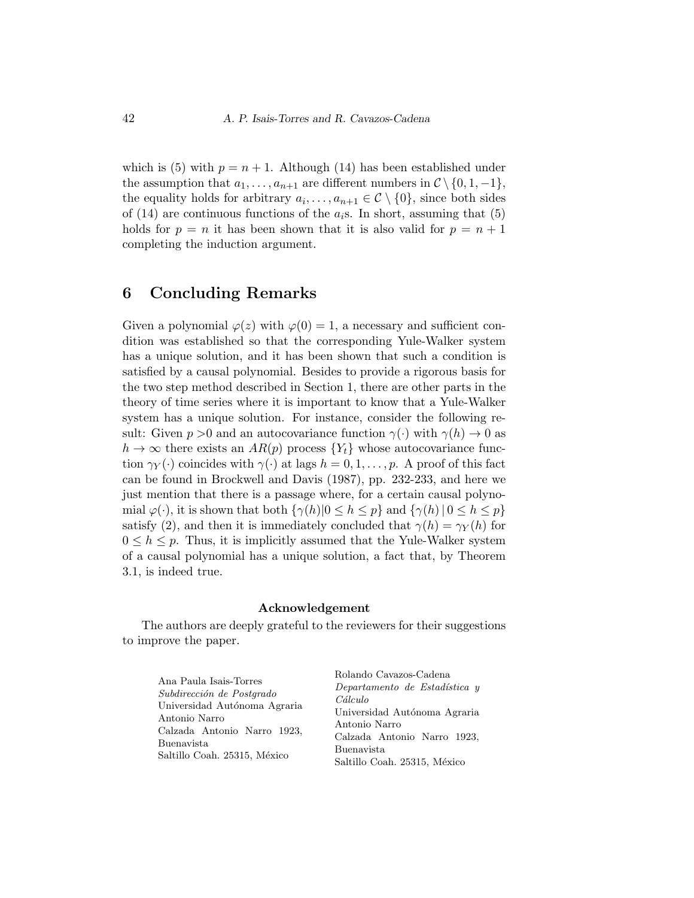which is (5) with  $p = n + 1$ . Although (14) has been established under the assumption that  $a_1, \ldots, a_{n+1}$  are different numbers in  $\mathcal{C} \setminus \{0, 1, -1\},$ the equality holds for arbitrary  $a_i, \ldots, a_{n+1} \in \mathcal{C} \setminus \{0\}$ , since both sides of (14) are continuous functions of the  $a_i$ s. In short, assuming that (5) holds for  $p = n$  it has been shown that it is also valid for  $p = n + 1$ completing the induction argument.

### 6 Concluding Remarks

Given a polynomial  $\varphi(z)$  with  $\varphi(0) = 1$ , a necessary and sufficient condition was established so that the corresponding Yule-Walker system has a unique solution, and it has been shown that such a condition is satisfied by a causal polynomial. Besides to provide a rigorous basis for the two step method described in Section 1, there are other parts in the theory of time series where it is important to know that a Yule-Walker system has a unique solution. For instance, consider the following result: Given  $p > 0$  and an autocovariance function  $\gamma(\cdot)$  with  $\gamma(h) \to 0$  as  $h \to \infty$  there exists an  $AR(p)$  process  $\{Y_t\}$  whose autocovariance function  $\gamma_Y(\cdot)$  coincides with  $\gamma(\cdot)$  at lags  $h = 0, 1, \ldots, p$ . A proof of this fact can be found in Brockwell and Davis (1987), pp. 232-233, and here we just mention that there is a passage where, for a certain causal polynomial  $\varphi(\cdot)$ , it is shown that both  $\{\gamma(h)|0 \leq h \leq p\}$  and  $\{\gamma(h)|0 \leq h \leq p\}$ satisfy (2), and then it is immediately concluded that  $\gamma(h) = \gamma_Y(h)$  for  $0 \leq h \leq p$ . Thus, it is implicitly assumed that the Yule-Walker system of a causal polynomial has a unique solution, a fact that, by Theorem 3.1, is indeed true.

### Acknowledgement

The authors are deeply grateful to the reviewers for their suggestions to improve the paper.

| Ana Paula Isais-Torres       | Rolando Cavazos-Cadena        |
|------------------------------|-------------------------------|
| Subdirección de Postarado    | Departamento de Estadística y |
| Universidad Autónoma Agraria | Cálculo                       |
| Antonio Narro                | Universidad Autónoma Agraria  |
|                              | Antonio Narro                 |
| Calzada Antonio Narro 1923,  | Calzada Antonio Narro 1923,   |
| Buenavista                   | Buenavista                    |
| Saltillo Coah. 25315, México | Saltillo Coah. 25315, México  |